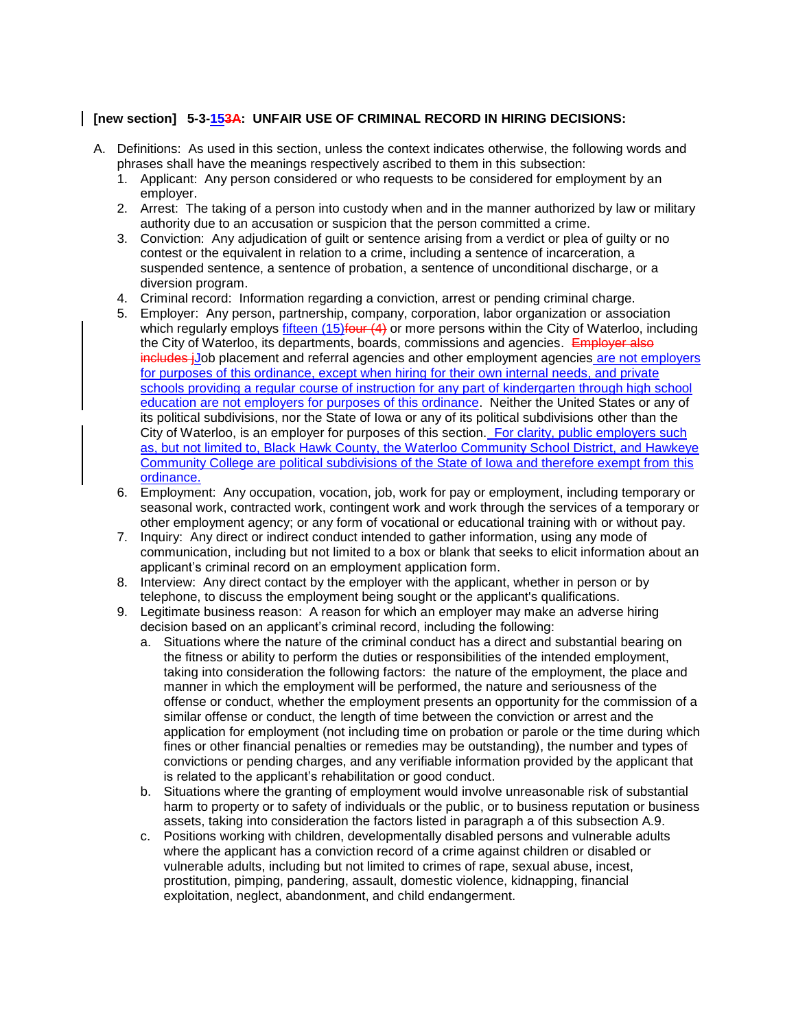## **[new section] 5-3-153A: UNFAIR USE OF CRIMINAL RECORD IN HIRING DECISIONS:**

- A. Definitions: As used in this section, unless the context indicates otherwise, the following words and phrases shall have the meanings respectively ascribed to them in this subsection:
	- 1. Applicant: Any person considered or who requests to be considered for employment by an employer.
	- 2. Arrest: The taking of a person into custody when and in the manner authorized by law or military authority due to an accusation or suspicion that the person committed a crime.
	- 3. Conviction: Any adjudication of guilt or sentence arising from a verdict or plea of guilty or no contest or the equivalent in relation to a crime, including a sentence of incarceration, a suspended sentence, a sentence of probation, a sentence of unconditional discharge, or a diversion program.
	- 4. Criminal record: Information regarding a conviction, arrest or pending criminal charge.
	- 5. Employer: Any person, partnership, company, corporation, labor organization or association which regularly employs fifteen  $(15)$  four  $(4)$  or more persons within the City of Waterloo, including the City of Waterloo, its departments, boards, commissions and agencies. Employer also includes jJob placement and referral agencies and other employment agencies are not employers for purposes of this ordinance, except when hiring for their own internal needs, and private schools providing a regular course of instruction for any part of kindergarten through high school education are not employers for purposes of this ordinance. Neither the United States or any of its political subdivisions, nor the State of Iowa or any of its political subdivisions other than the City of Waterloo, is an employer for purposes of this section. For clarity, public employers such as, but not limited to, Black Hawk County, the Waterloo Community School District, and Hawkeye Community College are political subdivisions of the State of Iowa and therefore exempt from this ordinance.
	- 6. Employment: Any occupation, vocation, job, work for pay or employment, including temporary or seasonal work, contracted work, contingent work and work through the services of a temporary or other employment agency; or any form of vocational or educational training with or without pay.
	- 7. Inquiry: Any direct or indirect conduct intended to gather information, using any mode of communication, including but not limited to a box or blank that seeks to elicit information about an applicant's criminal record on an employment application form.
	- 8. Interview: Any direct contact by the employer with the applicant, whether in person or by telephone, to discuss the employment being sought or the applicant's qualifications.
	- 9. Legitimate business reason: A reason for which an employer may make an adverse hiring decision based on an applicant's criminal record, including the following:
		- a. Situations where the nature of the criminal conduct has a direct and substantial bearing on the fitness or ability to perform the duties or responsibilities of the intended employment, taking into consideration the following factors: the nature of the employment, the place and manner in which the employment will be performed, the nature and seriousness of the offense or conduct, whether the employment presents an opportunity for the commission of a similar offense or conduct, the length of time between the conviction or arrest and the application for employment (not including time on probation or parole or the time during which fines or other financial penalties or remedies may be outstanding), the number and types of convictions or pending charges, and any verifiable information provided by the applicant that is related to the applicant's rehabilitation or good conduct.
		- b. Situations where the granting of employment would involve unreasonable risk of substantial harm to property or to safety of individuals or the public, or to business reputation or business assets, taking into consideration the factors listed in paragraph a of this subsection A.9.
		- c. Positions working with children, developmentally disabled persons and vulnerable adults where the applicant has a conviction record of a crime against children or disabled or vulnerable adults, including but not limited to crimes of rape, sexual abuse, incest, prostitution, pimping, pandering, assault, domestic violence, kidnapping, financial exploitation, neglect, abandonment, and child endangerment.